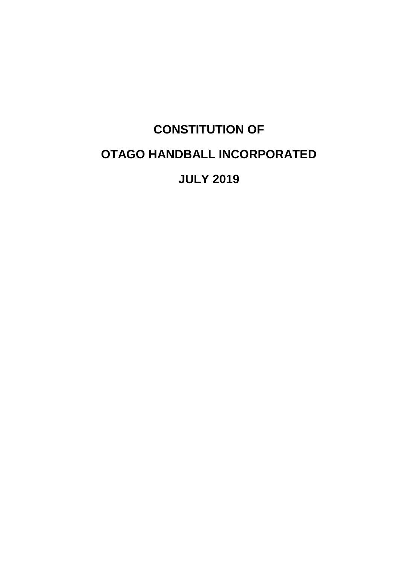# **CONSTITUTION OF OTAGO HANDBALL INCORPORATED JULY 2019**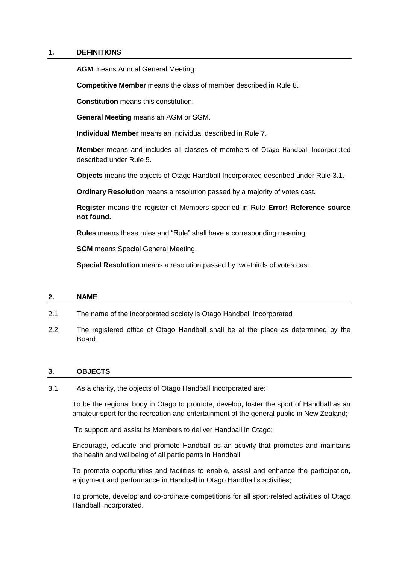## **1. DEFINITIONS**

**AGM** means Annual General Meeting.

**Competitive Member** means the class of member described in Rule 8.

**Constitution** means this constitution.

**General Meeting** means an AGM or SGM.

**Individual Member** means an individual described in Rule [7.](#page-4-0)

**Member** means and includes all classes of members of Otago Handball Incorporated described under Rule [5.](#page-3-0)

**Objects** means the objects of Otago Handball Incorporated described under Rule [3.1.](#page-1-0)

**Ordinary Resolution** means a resolution passed by a majority of votes cast.

**Register** means the register of Members specified in Rule **Error! Reference source not found.**.

**Rules** means these rules and "Rule" shall have a corresponding meaning.

**SGM** means Special General Meeting.

**Special Resolution** means a resolution passed by two-thirds of votes cast.

## **2. NAME**

- 2.1 The name of the incorporated society is Otago Handball Incorporated
- 2.2 The registered office of Otago Handball shall be at the place as determined by the Board.

## **3. OBJECTS**

<span id="page-1-0"></span>3.1 As a charity, the objects of Otago Handball Incorporated are:

To be the regional body in Otago to promote, develop, foster the sport of Handball as an amateur sport for the recreation and entertainment of the general public in New Zealand;

To support and assist its Members to deliver Handball in Otago;

Encourage, educate and promote Handball as an activity that promotes and maintains the health and wellbeing of all participants in Handball

To promote opportunities and facilities to enable, assist and enhance the participation, enjoyment and performance in Handball in Otago Handball's activities;

To promote, develop and co-ordinate competitions for all sport-related activities of Otago Handball Incorporated.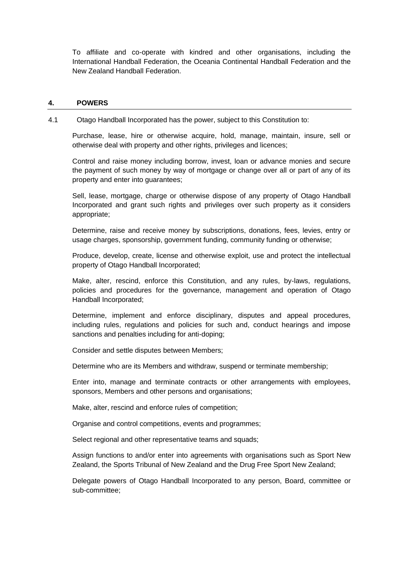To affiliate and co-operate with kindred and other organisations, including the International Handball Federation, the Oceania Continental Handball Federation and the New Zealand Handball Federation.

#### **4. POWERS**

<span id="page-2-0"></span>4.1 Otago Handball Incorporated has the power, subject to this Constitution to:

Purchase, lease, hire or otherwise acquire, hold, manage, maintain, insure, sell or otherwise deal with property and other rights, privileges and licences;

Control and raise money including borrow, invest, loan or advance monies and secure the payment of such money by way of mortgage or change over all or part of any of its property and enter into guarantees;

Sell, lease, mortgage, charge or otherwise dispose of any property of Otago Handball Incorporated and grant such rights and privileges over such property as it considers appropriate;

Determine, raise and receive money by subscriptions, donations, fees, levies, entry or usage charges, sponsorship, government funding, community funding or otherwise;

Produce, develop, create, license and otherwise exploit, use and protect the intellectual property of Otago Handball Incorporated;

Make, alter, rescind, enforce this Constitution, and any rules, by-laws, regulations, policies and procedures for the governance, management and operation of Otago Handball Incorporated;

Determine, implement and enforce disciplinary, disputes and appeal procedures, including rules, regulations and policies for such and, conduct hearings and impose sanctions and penalties including for anti-doping;

Consider and settle disputes between Members;

Determine who are its Members and withdraw, suspend or terminate membership;

Enter into, manage and terminate contracts or other arrangements with employees, sponsors, Members and other persons and organisations;

Make, alter, rescind and enforce rules of competition;

Organise and control competitions, events and programmes;

Select regional and other representative teams and squads;

Assign functions to and/or enter into agreements with organisations such as Sport New Zealand, the Sports Tribunal of New Zealand and the Drug Free Sport New Zealand;

Delegate powers of Otago Handball Incorporated to any person, Board, committee or sub-committee;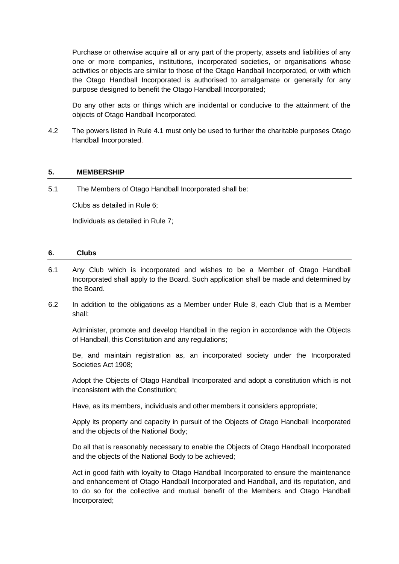Purchase or otherwise acquire all or any part of the property, assets and liabilities of any one or more companies, institutions, incorporated societies, or organisations whose activities or objects are similar to those of the Otago Handball Incorporated, or with which the Otago Handball Incorporated is authorised to amalgamate or generally for any purpose designed to benefit the Otago Handball Incorporated;

Do any other acts or things which are incidental or conducive to the attainment of the objects of Otago Handball Incorporated.

4.2 The powers listed in Rule [4.1](#page-2-0) must only be used to further the charitable purposes Otago Handball Incorporated.

## <span id="page-3-0"></span>**5. MEMBERSHIP**

5.1 The Members of Otago Handball Incorporated shall be:

Clubs as detailed in Rule 6;

Individuals as detailed in Rule 7;

## **6. Clubs**

- 6.1 Any Club which is incorporated and wishes to be a Member of Otago Handball Incorporated shall apply to the Board. Such application shall be made and determined by the Board.
- 6.2 In addition to the obligations as a Member under Rule [8,](#page-4-1) each Club that is a Member shall:

Administer, promote and develop Handball in the region in accordance with the Objects of Handball, this Constitution and any regulations;

Be, and maintain registration as, an incorporated society under the Incorporated Societies Act 1908;

Adopt the Objects of Otago Handball Incorporated and adopt a constitution which is not inconsistent with the Constitution;

Have, as its members, individuals and other members it considers appropriate;

Apply its property and capacity in pursuit of the Objects of Otago Handball Incorporated and the objects of the National Body;

Do all that is reasonably necessary to enable the Objects of Otago Handball Incorporated and the objects of the National Body to be achieved;

Act in good faith with loyalty to Otago Handball Incorporated to ensure the maintenance and enhancement of Otago Handball Incorporated and Handball, and its reputation, and to do so for the collective and mutual benefit of the Members and Otago Handball Incorporated;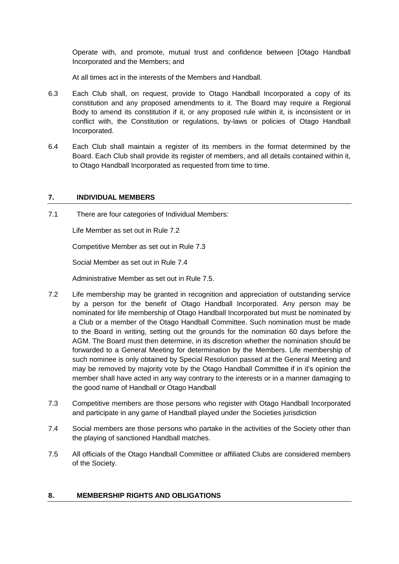Operate with, and promote, mutual trust and confidence between [Otago Handball Incorporated and the Members; and

At all times act in the interests of the Members and Handball.

- 6.3 Each Club shall, on request, provide to Otago Handball Incorporated a copy of its constitution and any proposed amendments to it. The Board may require a Regional Body to amend its constitution if it, or any proposed rule within it, is inconsistent or in conflict with, the Constitution or regulations, by-laws or policies of Otago Handball Incorporated.
- 6.4 Each Club shall maintain a register of its members in the format determined by the Board. Each Club shall provide its register of members, and all details contained within it, to Otago Handball Incorporated as requested from time to time.

## <span id="page-4-0"></span>**7. INDIVIDUAL MEMBERS**

7.1 There are four categories of Individual Members:

Life Member as set out in Rule 7.2

Competitive Member as set out in Rule 7.3

Social Member as set out in Rule 7.4

Administrative Member as set out in Rule 7.5.

- 7.2 Life membership may be granted in recognition and appreciation of outstanding service by a person for the benefit of Otago Handball Incorporated. Any person may be nominated for life membership of Otago Handball Incorporated but must be nominated by a Club or a member of the Otago Handball Committee. Such nomination must be made to the Board in writing, setting out the grounds for the nomination 60 days before the AGM. The Board must then determine, in its discretion whether the nomination should be forwarded to a General Meeting for determination by the Members. Life membership of such nominee is only obtained by Special Resolution passed at the General Meeting and may be removed by majority vote by the Otago Handball Committee if in it's opinion the member shall have acted in any way contrary to the interests or in a manner damaging to the good name of Handball or Otago Handball
- 7.3 Competitive members are those persons who register with Otago Handball Incorporated and participate in any game of Handball played under the Societies jurisdiction
- 7.4 Social members are those persons who partake in the activities of the Society other than the playing of sanctioned Handball matches.
- 7.5 All officials of the Otago Handball Committee or affiliated Clubs are considered members of the Society.

## <span id="page-4-1"></span>**8. MEMBERSHIP RIGHTS AND OBLIGATIONS**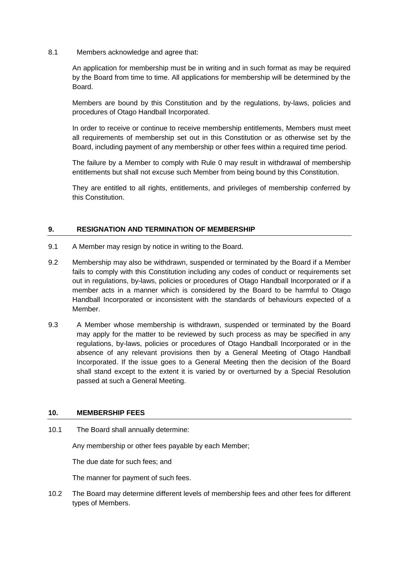8.1 Members acknowledge and agree that:

An application for membership must be in writing and in such format as may be required by the Board from time to time. All applications for membership will be determined by the Board.

Members are bound by this Constitution and by the regulations, by-laws, policies and procedures of Otago Handball Incorporated.

<span id="page-5-0"></span>In order to receive or continue to receive membership entitlements, Members must meet all requirements of membership set out in this Constitution or as otherwise set by the Board, including payment of any membership or other fees within a required time period.

The failure by a Member to comply with Rule [0](#page-5-0) may result in withdrawal of membership entitlements but shall not excuse such Member from being bound by this Constitution.

They are entitled to all rights, entitlements, and privileges of membership conferred by this Constitution.

## **9. RESIGNATION AND TERMINATION OF MEMBERSHIP**

- 9.1 A Member may resign by notice in writing to the Board.
- 9.2 Membership may also be withdrawn, suspended or terminated by the Board if a Member fails to comply with this Constitution including any codes of conduct or requirements set out in regulations, by-laws, policies or procedures of Otago Handball Incorporated or if a member acts in a manner which is considered by the Board to be harmful to Otago Handball Incorporated or inconsistent with the standards of behaviours expected of a Member.
- 9.3 A Member whose membership is withdrawn, suspended or terminated by the Board may apply for the matter to be reviewed by such process as may be specified in any regulations, by-laws, policies or procedures of Otago Handball Incorporated or in the absence of any relevant provisions then by a General Meeting of Otago Handball Incorporated. If the issue goes to a General Meeting then the decision of the Board shall stand except to the extent it is varied by or overturned by a Special Resolution passed at such a General Meeting.

## **10. MEMBERSHIP FEES**

10.1 The Board shall annually determine:

Any membership or other fees payable by each Member;

The due date for such fees; and

The manner for payment of such fees.

10.2 The Board may determine different levels of membership fees and other fees for different types of Members.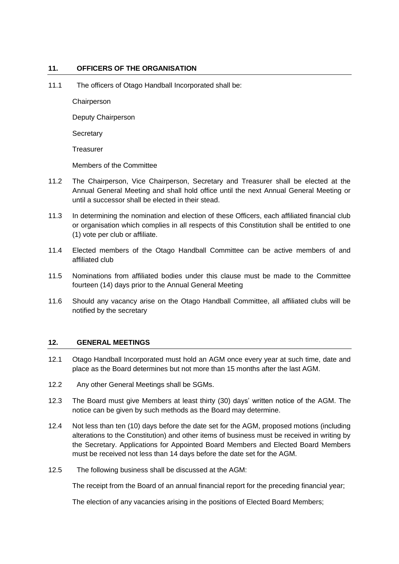## **11. OFFICERS OF THE ORGANISATION**

11.1 The officers of Otago Handball Incorporated shall be:

**Chairperson** 

Deputy Chairperson

**Secretary** 

**Treasurer** 

Members of the Committee

- 11.2 The Chairperson, Vice Chairperson, Secretary and Treasurer shall be elected at the Annual General Meeting and shall hold office until the next Annual General Meeting or until a successor shall be elected in their stead.
- 11.3 In determining the nomination and election of these Officers, each affiliated financial club or organisation which complies in all respects of this Constitution shall be entitled to one (1) vote per club or affiliate.
- 11.4 Elected members of the Otago Handball Committee can be active members of and affiliated club
- 11.5 Nominations from affiliated bodies under this clause must be made to the Committee fourteen (14) days prior to the Annual General Meeting
- 11.6 Should any vacancy arise on the Otago Handball Committee, all affiliated clubs will be notified by the secretary

## **12. GENERAL MEETINGS**

- 12.1 Otago Handball Incorporated must hold an AGM once every year at such time, date and place as the Board determines but not more than 15 months after the last AGM.
- 12.2 Any other General Meetings shall be SGMs.
- 12.3 The Board must give Members at least thirty (30) days' written notice of the AGM. The notice can be given by such methods as the Board may determine.
- 12.4 Not less than ten (10) days before the date set for the AGM, proposed motions (including alterations to the Constitution) and other items of business must be received in writing by the Secretary. Applications for Appointed Board Members and Elected Board Members must be received not less than 14 days before the date set for the AGM.
- <span id="page-6-0"></span>12.5 The following business shall be discussed at the AGM:

The receipt from the Board of an annual financial report for the preceding financial year;

The election of any vacancies arising in the positions of Elected Board Members;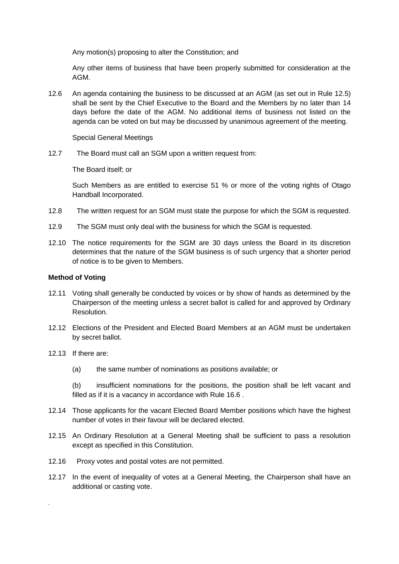Any motion(s) proposing to alter the Constitution; and

Any other items of business that have been properly submitted for consideration at the AGM.

12.6 An agenda containing the business to be discussed at an AGM (as set out in Rule [12.5\)](#page-6-0) shall be sent by the Chief Executive to the Board and the Members by no later than 14 days before the date of the AGM. No additional items of business not listed on the agenda can be voted on but may be discussed by unanimous agreement of the meeting.

Special General Meetings

12.7 The Board must call an SGM upon a written request from:

The Board itself; or

Such Members as are entitled to exercise 51 % or more of the voting rights of Otago Handball Incorporated.

- 12.8 The written request for an SGM must state the purpose for which the SGM is requested.
- 12.9 The SGM must only deal with the business for which the SGM is requested.
- 12.10 The notice requirements for the SGM are 30 days unless the Board in its discretion determines that the nature of the SGM business is of such urgency that a shorter period of notice is to be given to Members.

## **Method of Voting**

- 12.11 Voting shall generally be conducted by voices or by show of hands as determined by the Chairperson of the meeting unless a secret ballot is called for and approved by Ordinary Resolution.
- 12.12 Elections of the President and Elected Board Members at an AGM must be undertaken by secret ballot.
- 12.13 If there are:

*.* 

(a) the same number of nominations as positions available; or

(b) insufficient nominations for the positions, the position shall be left vacant and filled as if it is a vacancy in accordance with Rule 16.6 .

- 12.14 Those applicants for the vacant Elected Board Member positions which have the highest number of votes in their favour will be declared elected.
- 12.15 An Ordinary Resolution at a General Meeting shall be sufficient to pass a resolution except as specified in this Constitution.
- 12.16 Proxy votes and postal votes are not permitted.
- 12.17 In the event of inequality of votes at a General Meeting, the Chairperson shall have an additional or casting vote.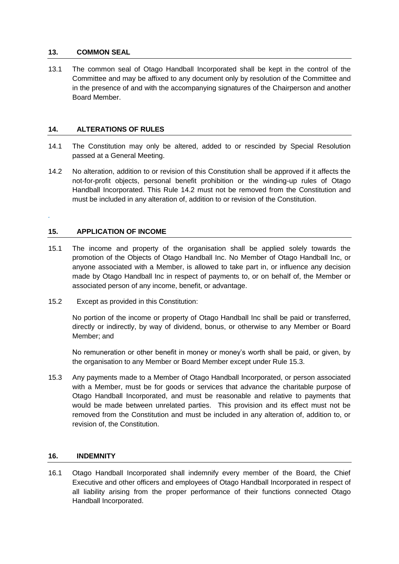## **13. COMMON SEAL**

13.1 The common seal of Otago Handball Incorporated shall be kept in the control of the Committee and may be affixed to any document only by resolution of the Committee and in the presence of and with the accompanying signatures of the Chairperson and another Board Member.

## **14. ALTERATIONS OF RULES**

- 14.1 The Constitution may only be altered, added to or rescinded by Special Resolution passed at a General Meeting.
- <span id="page-8-0"></span>14.2 No alteration, addition to or revision of this Constitution shall be approved if it affects the not-for-profit objects, personal benefit prohibition or the winding-up rules of Otago Handball Incorporated. This Rule [14.2](#page-8-0) must not be removed from the Constitution and must be included in any alteration of, addition to or revision of the Constitution.

## **15. APPLICATION OF INCOME**

*.*

- 15.1 The income and property of the organisation shall be applied solely towards the promotion of the Objects of Otago Handball Inc. No Member of Otago Handball Inc, or anyone associated with a Member, is allowed to take part in, or influence any decision made by Otago Handball Inc in respect of payments to, or on behalf of, the Member or associated person of any income, benefit, or advantage.
- 15.2 Except as provided in this Constitution:

No portion of the income or property of Otago Handball Inc shall be paid or transferred, directly or indirectly, by way of dividend, bonus, or otherwise to any Member or Board Member; and

No remuneration or other benefit in money or money's worth shall be paid, or given, by the organisation to any Member or Board Member except under Rule 15.3.

15.3 Any payments made to a Member of Otago Handball Incorporated, or person associated with a Member, must be for goods or services that advance the charitable purpose of Otago Handball Incorporated, and must be reasonable and relative to payments that would be made between unrelated parties. This provision and its effect must not be removed from the Constitution and must be included in any alteration of, addition to, or revision of, the Constitution.

## **16. INDEMNITY**

16.1 Otago Handball Incorporated shall indemnify every member of the Board, the Chief Executive and other officers and employees of Otago Handball Incorporated in respect of all liability arising from the proper performance of their functions connected Otago Handball Incorporated.